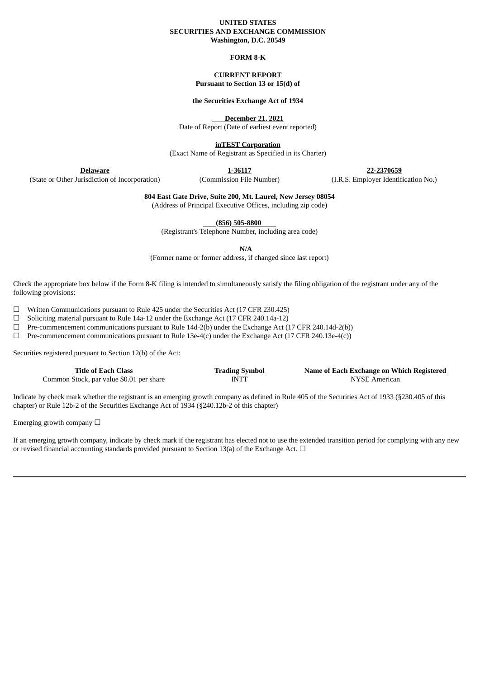#### **UNITED STATES SECURITIES AND EXCHANGE COMMISSION Washington, D.C. 20549**

## **FORM 8-K**

## **CURRENT REPORT Pursuant to Section 13 or 15(d) of**

#### **the Securities Exchange Act of 1934**

**December 21, 2021**

Date of Report (Date of earliest event reported)

**inTEST Corporation**

(Exact Name of Registrant as Specified in its Charter)

**Delaware**

**1-36117**

**22-2370659** (I.R.S. Employer Identification No.)

(State or Other Jurisdiction of Incorporation)

(Commission File Number)

**804 East Gate Drive, Suite 200, Mt. Laurel, New Jersey 08054** (Address of Principal Executive Offices, including zip code)

**(856) 505-8800**

(Registrant's Telephone Number, including area code)

**N/A**

(Former name or former address, if changed since last report)

Check the appropriate box below if the Form 8-K filing is intended to simultaneously satisfy the filing obligation of the registrant under any of the following provisions:

 $\Box$  Written Communications pursuant to Rule 425 under the Securities Act (17 CFR 230.425)

 $\Box$  Soliciting material pursuant to Rule 14a-12 under the Exchange Act (17 CFR 240.14a-12)

☐ Pre-commencement communications pursuant to Rule 14d-2(b) under the Exchange Act (17 CFR 240.14d-2(b))

 $\Box$  Pre-commencement communications pursuant to Rule 13e-4(c) under the Exchange Act (17 CFR 240.13e-4(c))

Securities registered pursuant to Section 12(b) of the Act:

| Title of Each Class                      | <b>Trading Symbol</b> | Name of Each Exchange on Which Registered |
|------------------------------------------|-----------------------|-------------------------------------------|
| Common Stock, par value \$0.01 per share | INTT                  | NYSE American                             |

Indicate by check mark whether the registrant is an emerging growth company as defined in Rule 405 of the Securities Act of 1933 (§230.405 of this chapter) or Rule 12b-2 of the Securities Exchange Act of 1934 (§240.12b-2 of this chapter)

Emerging growth company  $\Box$ 

If an emerging growth company, indicate by check mark if the registrant has elected not to use the extended transition period for complying with any new or revised financial accounting standards provided pursuant to Section 13(a) of the Exchange Act.  $\Box$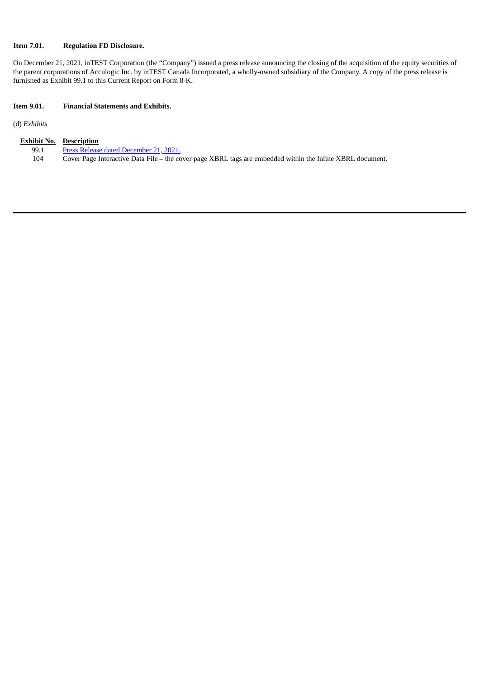# **Item 7.01. Regulation FD Disclosure.**

On December 21, 2021, inTEST Corporation (the "Company") issued a press release announcing the closing of the acquisition of the equity securities of the parent corporations of Acculogic Inc. by inTEST Canada Incorporated, a wholly-owned subsidiary of the Company. A copy of the press release is furnished as Exhibit 99.1 to this Current Report on Form 8-K.

# **Item 9.01. Financial Statements and Exhibits.**

(d) *Exhibits*

|      | <b>Exhibit No. Description</b>                                                                            |
|------|-----------------------------------------------------------------------------------------------------------|
| 99.1 | Press Release dated December 21, 2021.                                                                    |
| 104  | Cover Page Interactive Data File – the cover page XBRL tags are embedded within the Inline XBRL document. |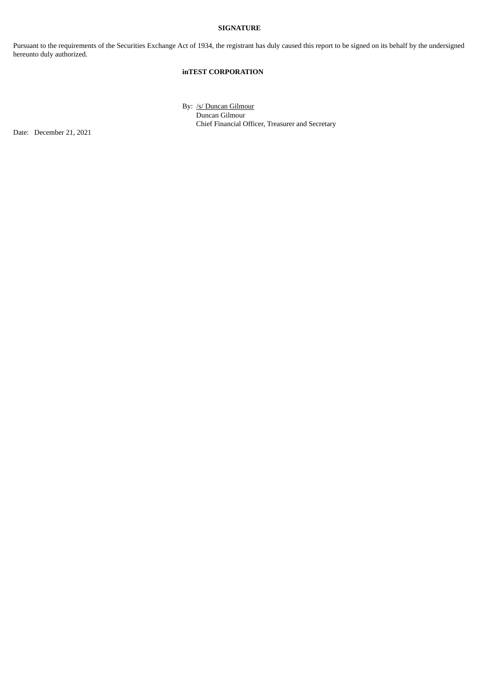# **SIGNATURE**

Pursuant to the requirements of the Securities Exchange Act of 1934, the registrant has duly caused this report to be signed on its behalf by the undersigned hereunto duly authorized.

# **inTEST CORPORATION**

By: /s/ Duncan Gilmour Duncan Gilmour Chief Financial Officer, Treasurer and Secretary

Date: December 21, 2021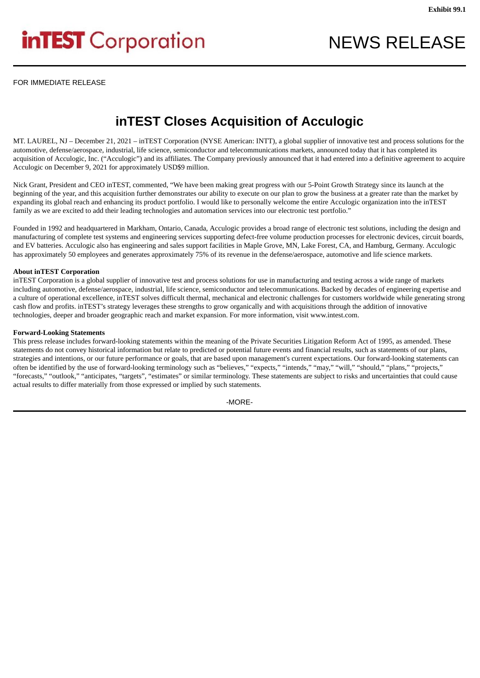# <span id="page-3-0"></span>**inTEST** Corporation

FOR IMMEDIATE RELEASE

# **inTEST Closes Acquisition of Acculogic**

MT. LAUREL, NJ – December 21, 2021 – inTEST Corporation (NYSE American: INTT), a global supplier of innovative test and process solutions for the automotive, defense/aerospace, industrial, life science, semiconductor and telecommunications markets, announced today that it has completed its acquisition of Acculogic, Inc. ("Acculogic") and its affiliates. The Company previously announced that it had entered into a definitive agreement to acquire Acculogic on December 9, 2021 for approximately USD\$9 million.

Nick Grant, President and CEO inTEST, commented, "We have been making great progress with our 5-Point Growth Strategy since its launch at the beginning of the year, and this acquisition further demonstrates our ability to execute on our plan to grow the business at a greater rate than the market by expanding its global reach and enhancing its product portfolio. I would like to personally welcome the entire Acculogic organization into the inTEST family as we are excited to add their leading technologies and automation services into our electronic test portfolio."

Founded in 1992 and headquartered in Markham, Ontario, Canada, Acculogic provides a broad range of electronic test solutions, including the design and manufacturing of complete test systems and engineering services supporting defect-free volume production processes for electronic devices, circuit boards, and EV batteries. Acculogic also has engineering and sales support facilities in Maple Grove, MN, Lake Forest, CA, and Hamburg, Germany. Acculogic has approximately 50 employees and generates approximately 75% of its revenue in the defense/aerospace, automotive and life science markets.

# **About inTEST Corporation**

inTEST Corporation is a global supplier of innovative test and process solutions for use in manufacturing and testing across a wide range of markets including automotive, defense/aerospace, industrial, life science, semiconductor and telecommunications. Backed by decades of engineering expertise and a culture of operational excellence, inTEST solves difficult thermal, mechanical and electronic challenges for customers worldwide while generating strong cash flow and profits. inTEST's strategy leverages these strengths to grow organically and with acquisitions through the addition of innovative technologies, deeper and broader geographic reach and market expansion. For more information, visit www.intest.com.

# **Forward-Looking Statements**

This press release includes forward-looking statements within the meaning of the Private Securities Litigation Reform Act of 1995, as amended. These statements do not convey historical information but relate to predicted or potential future events and financial results, such as statements of our plans, strategies and intentions, or our future performance or goals, that are based upon management's current expectations. Our forward-looking statements can often be identified by the use of forward-looking terminology such as "believes," "expects," "intends," "may," "will," "should," "plans," "projects," "forecasts," "outlook," "anticipates, "targets", "estimates" or similar terminology. These statements are subject to risks and uncertainties that could cause actual results to differ materially from those expressed or implied by such statements.